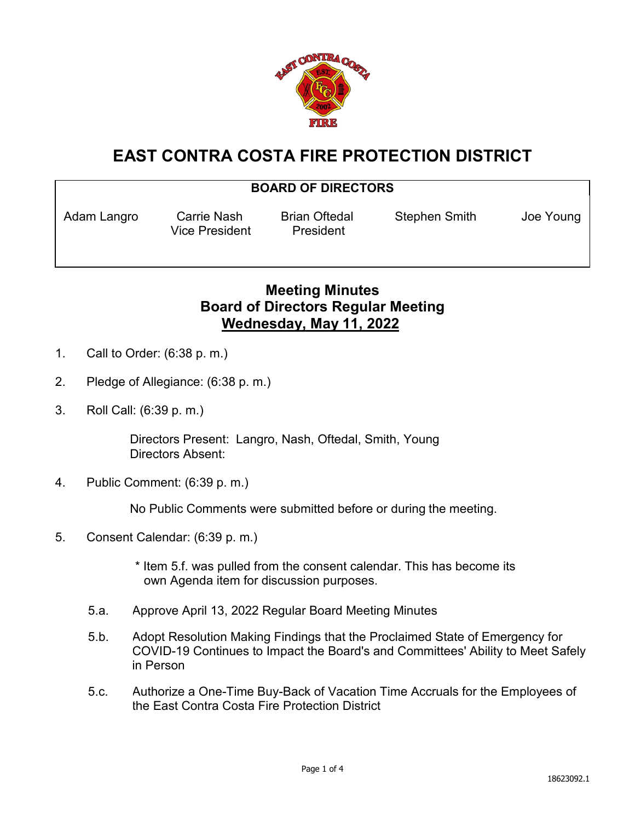

## **EAST CONTRA COSTA FIRE PROTECTION DISTRICT**

## **BOARD OF DIRECTORS**

Vice President President

Adam Langro Carrie Nash Brian Oftedal Stephen Smith Joe Young

## **Meeting Minutes Board of Directors Regular Meeting Wednesday, May 11, 2022**

- 1. Call to Order: (6:38 p. m.)
- 2. Pledge of Allegiance: (6:38 p. m.)
- 3. Roll Call: (6:39 p. m.)

Directors Present: Langro, Nash, Oftedal, Smith, Young Directors Absent:

4. Public Comment: (6:39 p. m.)

No Public Comments were submitted before or during the meeting.

5. Consent Calendar: (6:39 p. m.)

 \* Item 5.f. was pulled from the consent calendar. This has become its own Agenda item for discussion purposes.

- 5.a. Approve April 13, 2022 Regular Board Meeting Minutes
- 5.b. Adopt Resolution Making Findings that the Proclaimed State of Emergency for COVID-19 Continues to Impact the Board's and Committees' Ability to Meet Safely in Person
- 5.c. Authorize a One-Time Buy-Back of Vacation Time Accruals for the Employees of the East Contra Costa Fire Protection District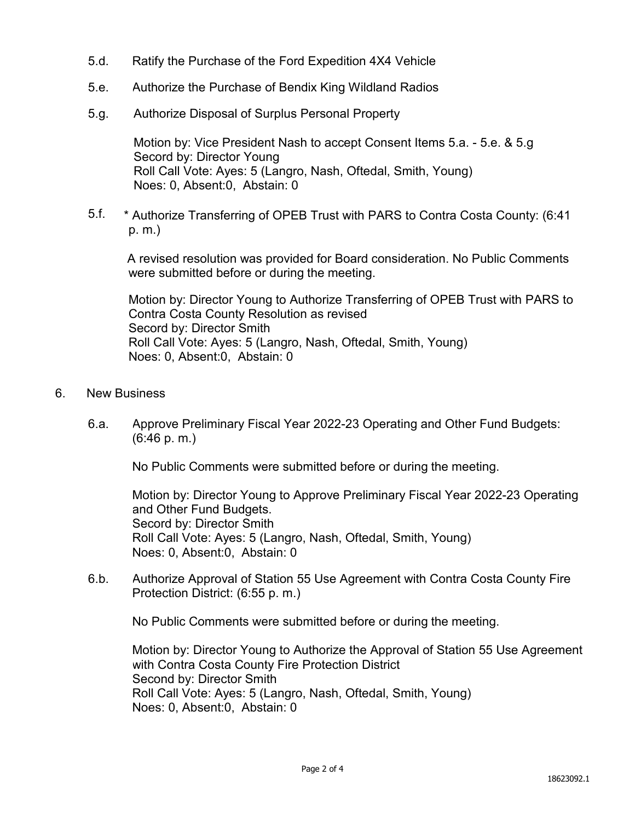- 5.d. Ratify the Purchase of the Ford Expedition 4X4 Vehicle
- 5.e. Authorize the Purchase of Bendix King Wildland Radios
- 5.g. Authorize Disposal of Surplus Personal Property

Motion by: Vice President Nash to accept Consent Items 5.a. - 5.e. & 5.g Secord by: Director Young Roll Call Vote: Ayes: 5 (Langro, Nash, Oftedal, Smith, Young) Noes: 0, Absent:0, Abstain: 0

5.f. \* Authorize Transferring of OPEB Trust with PARS to Contra Costa County: (6:41 p. m.)

A revised resolution was provided for Board consideration. No Public Comments were submitted before or during the meeting.

Motion by: Director Young to Authorize Transferring of OPEB Trust with PARS to Contra Costa County Resolution as revised Secord by: Director Smith Roll Call Vote: Ayes: 5 (Langro, Nash, Oftedal, Smith, Young) Noes: 0, Absent:0, Abstain: 0

- 6. New Business
	- 6.a. Approve Preliminary Fiscal Year 2022-23 Operating and Other Fund Budgets: (6:46 p. m.)

No Public Comments were submitted before or during the meeting.

Motion by: Director Young to Approve Preliminary Fiscal Year 2022-23 Operating and Other Fund Budgets. Secord by: Director Smith Roll Call Vote: Ayes: 5 (Langro, Nash, Oftedal, Smith, Young) Noes: 0, Absent:0, Abstain: 0

6.b. Authorize Approval of Station 55 Use Agreement with Contra Costa County Fire Protection District: (6:55 p. m.)

No Public Comments were submitted before or during the meeting.

Motion by: Director Young to Authorize the Approval of Station 55 Use Agreement with Contra Costa County Fire Protection District Second by: Director Smith Roll Call Vote: Ayes: 5 (Langro, Nash, Oftedal, Smith, Young) Noes: 0, Absent:0, Abstain: 0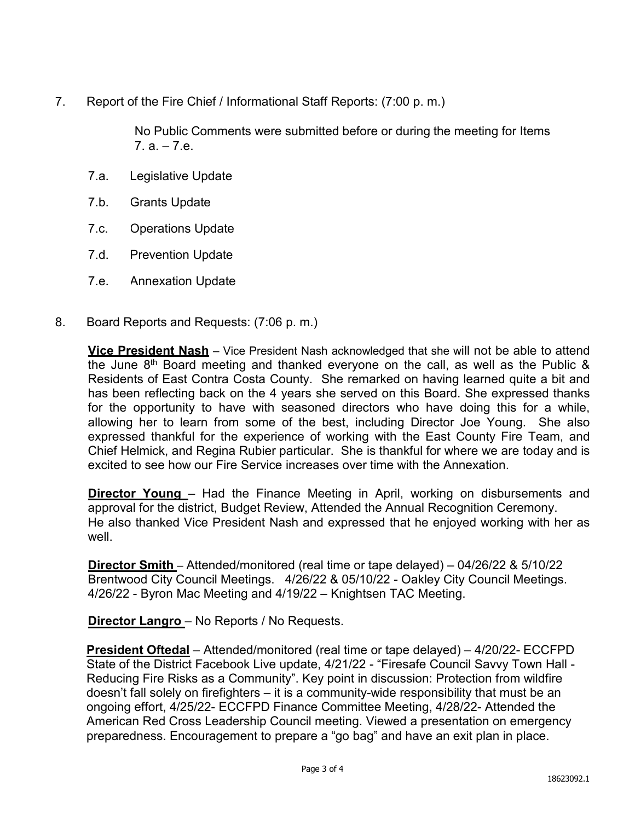7. Report of the Fire Chief / Informational Staff Reports: (7:00 p. m.)

No Public Comments were submitted before or during the meeting for Items  $7a - 7e$ 

- 7.a. Legislative Update
- 7.b. Grants Update
- 7.c. Operations Update
- 7.d. Prevention Update
- 7.e. Annexation Update
- 8. Board Reports and Requests: (7:06 p. m.)

**Vice President Nash** – Vice President Nash acknowledged that she will not be able to attend the June  $8<sup>th</sup>$  Board meeting and thanked everyone on the call, as well as the Public  $\&$ Residents of East Contra Costa County. She remarked on having learned quite a bit and has been reflecting back on the 4 years she served on this Board. She expressed thanks for the opportunity to have with seasoned directors who have doing this for a while, allowing her to learn from some of the best, including Director Joe Young. She also expressed thankful for the experience of working with the East County Fire Team, and Chief Helmick, and Regina Rubier particular. She is thankful for where we are today and is excited to see how our Fire Service increases over time with the Annexation.

**Director Young** – Had the Finance Meeting in April, working on disbursements and approval for the district, Budget Review, Attended the Annual Recognition Ceremony. He also thanked Vice President Nash and expressed that he enjoyed working with her as well.

**Director Smith** – Attended/monitored (real time or tape delayed) – 04/26/22 & 5/10/22 Brentwood City Council Meetings. 4/26/22 & 05/10/22 - Oakley City Council Meetings. 4/26/22 - Byron Mac Meeting and 4/19/22 – Knightsen TAC Meeting.

**Director Langro** – No Reports / No Requests.

**President Oftedal** – Attended/monitored (real time or tape delayed) – 4/20/22- ECCFPD State of the District Facebook Live update, 4/21/22 - "Firesafe Council Savvy Town Hall - Reducing Fire Risks as a Community". Key point in discussion: Protection from wildfire doesn't fall solely on firefighters – it is a community-wide responsibility that must be an ongoing effort, 4/25/22- ECCFPD Finance Committee Meeting, 4/28/22- Attended the American Red Cross Leadership Council meeting. Viewed a presentation on emergency preparedness. Encouragement to prepare a "go bag" and have an exit plan in place.